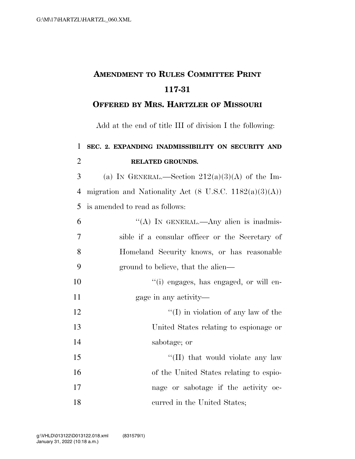## **AMENDMENT TO RULES COMMITTEE PRINT 117-31**

## **OFFERED BY MRS. HARTZLER OF MISSOURI**

Add at the end of title III of division I the following:

## **SEC. 2. EXPANDING INADMISSIBILITY ON SECURITY AND RELATED GROUNDS.**

3 (a) IN GENERAL.—Section  $212(a)(3)(A)$  of the Im- migration and Nationality Act (8 U.S.C. 1182(a)(3)(A)) is amended to read as follows:

| 6              | "(A) IN GENERAL.—Any alien is inadmis-          |
|----------------|-------------------------------------------------|
| $\overline{7}$ | sible if a consular officer or the Secretary of |
| 8              | Homeland Security knows, or has reasonable      |
| 9              | ground to believe, that the alien—              |
| 10             | "(i) engages, has engaged, or will en-          |
| 11             | gage in any activity—                           |
| 12             | $\lq\lq$ (I) in violation of any law of the     |
| 13             | United States relating to espionage or          |
| 14             | sabotage; or                                    |
| 15             | "(II) that would violate any law                |
| 16             | of the United States relating to espio-         |
| 17             | nage or sabotage if the activity oc-            |
| 18             | curred in the United States;                    |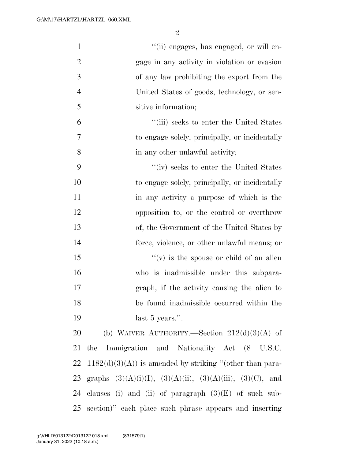| $\mathbf{1}$   | "(ii) engages, has engaged, or will en-                               |
|----------------|-----------------------------------------------------------------------|
| $\overline{2}$ | gage in any activity in violation or evasion                          |
| 3              | of any law prohibiting the export from the                            |
| $\overline{4}$ | United States of goods, technology, or sen-                           |
| 5              | sitive information;                                                   |
| 6              | "(iii) seeks to enter the United States                               |
| 7              | to engage solely, principally, or incidentally                        |
| 8              | in any other unlawful activity;                                       |
| 9              | "(iv) seeks to enter the United States                                |
| 10             | to engage solely, principally, or incidentally                        |
| 11             | in any activity a purpose of which is the                             |
| 12             | opposition to, or the control or overthrow                            |
| 13             | of, the Government of the United States by                            |
| 14             | force, violence, or other unlawful means; or                          |
| 15             | $f'(v)$ is the spouse or child of an alien                            |
| 16             | who is inadmissible under this subpara-                               |
| 17             | graph, if the activity causing the alien to                           |
| 18             | be found inadmissible occurred within the                             |
| 19             | last $5$ years.".                                                     |
| 20             | (b) WAIVER AUTHORITY.—Section $212(d)(3)(A)$ of                       |
| 21             | Immigration and Nationality Act (8 U.S.C.<br>the                      |
| 22             | $1182(d)(3)(A)$ is amended by striking "(other than para-             |
| 23             | graphs $(3)(A)(i)(I)$ , $(3)(A)(ii)$ , $(3)(A)(iii)$ , $(3)(C)$ , and |
| 24             | clauses (i) and (ii) of paragraph $(3)(E)$ of such sub-               |
| 25             | section)" each place such phrase appears and inserting                |